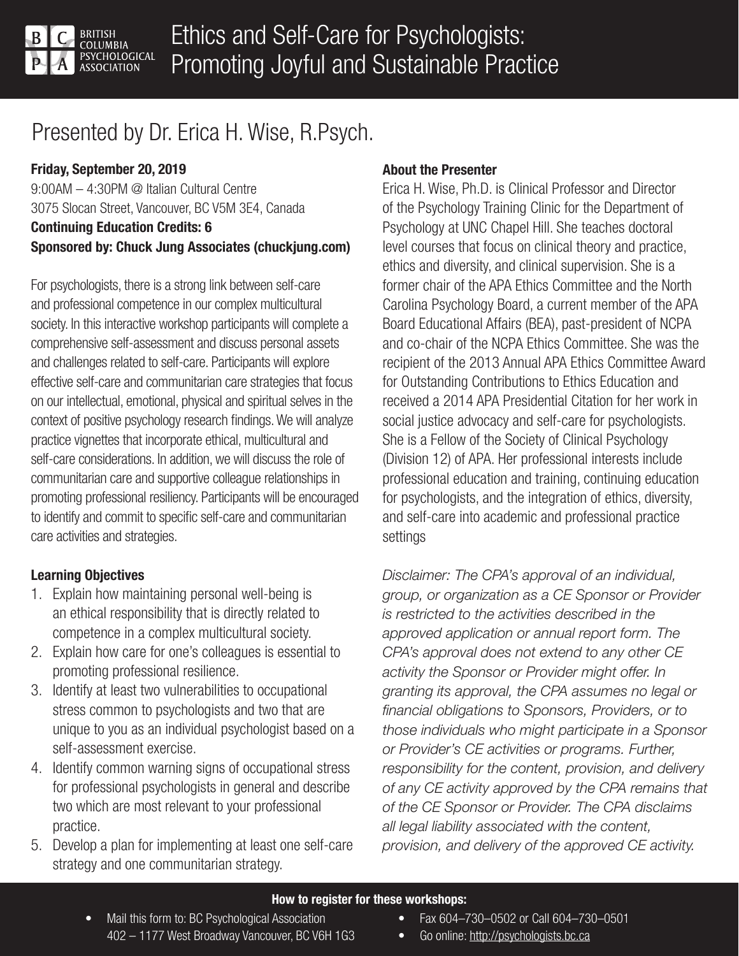

# Presented by Dr. Erica H. Wise, R.Psych.

# Friday, September 20, 2019

9:00AM – 4:30PM @ Italian Cultural Centre 3075 Slocan Street, Vancouver, BC V5M 3E4, Canada Continuing Education Credits: 6 Sponsored by: Chuck Jung Associates (chuckjung.com)

For psychologists, there is a strong link between self-care and professional competence in our complex multicultural society. In this interactive workshop participants will complete a comprehensive self-assessment and discuss personal assets and challenges related to self-care. Participants will explore effective self-care and communitarian care strategies that focus on our intellectual, emotional, physical and spiritual selves in the context of positive psychology research findings. We will analyze practice vignettes that incorporate ethical, multicultural and self-care considerations. In addition, we will discuss the role of communitarian care and supportive colleague relationships in promoting professional resiliency. Participants will be encouraged to identify and commit to specific self-care and communitarian care activities and strategies.

## Learning Objectives

- 1. Explain how maintaining personal well-being is an ethical responsibility that is directly related to competence in a complex multicultural society.
- 2. Explain how care for one's colleagues is essential to promoting professional resilience.
- 3. Identify at least two vulnerabilities to occupational stress common to psychologists and two that are unique to you as an individual psychologist based on a self-assessment exercise.
- 4. Identify common warning signs of occupational stress for professional psychologists in general and describe two which are most relevant to your professional practice.
- 5. Develop a plan for implementing at least one self-care strategy and one communitarian strategy.

### About the Presenter

Erica H. Wise, Ph.D. is Clinical Professor and Director of the Psychology Training Clinic for the Department of Psychology at UNC Chapel Hill. She teaches doctoral level courses that focus on clinical theory and practice, ethics and diversity, and clinical supervision. She is a former chair of the APA Ethics Committee and the North Carolina Psychology Board, a current member of the APA Board Educational Affairs (BEA), past-president of NCPA and co-chair of the NCPA Ethics Committee. She was the recipient of the 2013 Annual APA Ethics Committee Award for Outstanding Contributions to Ethics Education and received a 2014 APA Presidential Citation for her work in social justice advocacy and self-care for psychologists. She is a Fellow of the Society of Clinical Psychology (Division 12) of APA. Her professional interests include professional education and training, continuing education for psychologists, and the integration of ethics, diversity, and self-care into academic and professional practice settings

Disclaimer: The CPA's approval of an individual, group, or organization as a CE Sponsor or Provider is restricted to the activities described in the approved application or annual report form. The CPA's approval does not extend to any other CE activity the Sponsor or Provider might offer. In granting its approval, the CPA assumes no legal or financial obligations to Sponsors, Providers, or to those individuals who might participate in a Sponsor or Provider's CE activities or programs. Further, responsibility for the content, provision, and delivery of any CE activity approved by the CPA remains that of the CE Sponsor or Provider. The CPA disclaims all legal liability associated with the content, provision, and delivery of the approved CE activity.

#### How to register for these workshops:

- Mail this form to: BC Psychological Association 402 – 1177 West Broadway Vancouver, BC V6H 1G3
- Fax 604–730–0502 or Call 604–730–0501
- Go online: http://psychologists.bc.ca